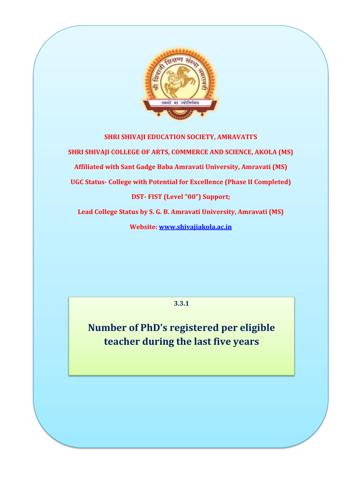

## **SHRI SHIVAJI EDUCATION SOCIETY, AMRAVATI'S SHRI SHIVAJI COLLEGE OF ARTS, COMMERCE AND SCIENCE, AKOLA (MS) Affiliated with Sant Gadge Baba Amravati University, Amravati (MS) UGC Status- College with Potential for Excellence (Phase II Completed) DST- FIST (Level "00") Support; Lead College Status by S. G. B. Amravati University, Amravati (MS)**

**Website: www.shivajiakola.ac.in**

**3.3.1**

**Number of PhD's registered per eligible teacher during the last five years**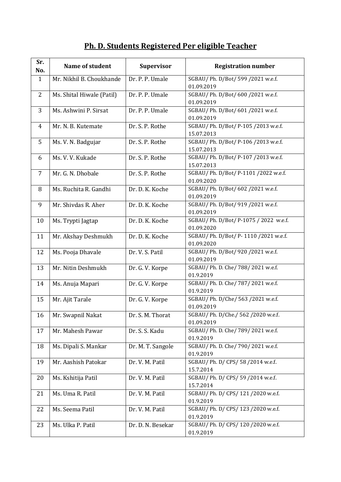## **Ph. D. Students Registered Per eligible Teacher**

| Sr.<br>No.     | Name of student           | <b>Supervisor</b> | <b>Registration number</b>                         |
|----------------|---------------------------|-------------------|----------------------------------------------------|
| $\mathbf{1}$   | Mr. Nikhil B. Choukhande  | Dr. P. P. Umale   | SGBAU/ Ph. D/Bot/ 599 /2021 w.e.f.<br>01.09.2019   |
| $\overline{2}$ | Ms. Shital Hiwale (Patil) | Dr. P. P. Umale   | SGBAU/ Ph. D/Bot/ 600 /2021 w.e.f.                 |
|                |                           |                   | 01.09.2019                                         |
| 3              | Ms. Ashwini P. Sirsat     | Dr. P. P. Umale   | SGBAU/ Ph. D/Bot/ 601 /2021 w.e.f.                 |
|                |                           |                   | 01.09.2019                                         |
| $\overline{4}$ | Mr. N. B. Kutemate        | Dr. S. P. Rothe   | SGBAU/ Ph. D/Bot/ P-105 /2013 w.e.f.               |
|                |                           |                   | 15.07.2013                                         |
| 5              | Ms. V. N. Badgujar        | Dr. S. P. Rothe   | SGBAU/ Ph. D/Bot/ P-106 /2013 w.e.f.               |
|                |                           |                   | 15.07.2013                                         |
| 6              | Ms. V. V. Kukade          | Dr. S. P. Rothe   | SGBAU/ Ph. D/Bot/ P-107 /2013 w.e.f.<br>15.07.2013 |
| $\overline{7}$ | Mr. G. N. Dhobale         | Dr. S. P. Rothe   | SGBAU/ Ph. D/Bot/ P-1101 /2022 w.e.f.              |
|                |                           |                   | 01.09.2020                                         |
| 8              | Ms. Ruchita R. Gandhi     | Dr. D. K. Koche   | SGBAU/ Ph. D/Bot/ 602 /2021 w.e.f.                 |
|                |                           |                   | 01.09.2019                                         |
| 9              | Mr. Shivdas R. Aher       | Dr. D. K. Koche   | SGBAU/ Ph. D/Bot/ 919 /2021 w.e.f.                 |
|                |                           |                   | 01.09.2019                                         |
| 10             | Ms. Trypti Jagtap         | Dr. D. K. Koche   | SGBAU/Ph. D/Bot/P-1075 / 2022 w.e.f.               |
|                |                           |                   | 01.09.2020                                         |
| 11             | Mr. Akshay Deshmukh       | Dr. D. K. Koche   | SGBAU/ Ph. D/Bot/ P-1110 /2021 w.e.f.              |
|                |                           | Dr. V. S. Patil   | 01.09.2020<br>SGBAU/ Ph. D/Bot/ 920 /2021 w.e.f.   |
| 12             | Ms. Pooja Dhavale         |                   | 01.09.2019                                         |
| 13             | Mr. Nitin Deshmukh        | Dr. G. V. Korpe   | SGBAU/ Ph. D. Che/ 788/ 2021 w.e.f.                |
|                |                           |                   | 01.9.2019                                          |
| 14             | Ms. Anuja Mapari          | Dr. G. V. Korpe   | SGBAU/ Ph. D. Che/ 787/ 2021 w.e.f.                |
|                |                           |                   | 01.9.2019                                          |
| 15             | Mr. Ajit Tarale           | Dr. G. V. Korpe   | SGBAU/ Ph. D/Che/ 563 /2021 w.e.f.                 |
|                |                           |                   | 01.09.2019                                         |
| 16             | Mr. Swapnil Nakat         | Dr. S. M. Thorat  | SGBAU/ Ph. D/Che./ 562 /2020 w.e.f.                |
| 17             | Mr. Mahesh Pawar          | Dr. S. S. Kadu    | 01.09.2019<br>SGBAU/ Ph. D. Che/ 789/ 2021 w.e.f.  |
|                |                           |                   | 01.9.2019                                          |
| 18             | Ms. Dipali S. Mankar      | Dr. M. T. Sangole | SGBAU/ Ph. D. Che/ 790/ 2021 w.e.f.                |
|                |                           |                   | 01.9.2019                                          |
| 19             | Mr. Aashish Patokar       | Dr. V. M. Patil   | SGBAU/ Ph. D/ CPS/ 58 /2014 w.e.f.                 |
|                |                           |                   | 15.7.2014                                          |
| 20             | Ms. Kshitija Patil        | Dr. V. M. Patil   | SGBAU/ Ph. D/ CPS/ 59 /2014 w.e.f.                 |
|                |                           |                   | 15.7.2014                                          |
| 21             | Ms. Uma R. Patil          | Dr. V. M. Patil   | SGBAU/ Ph. D/ CPS/ 121 /2020 w.e.f.                |
|                |                           |                   | 01.9.2019                                          |
| 22             | Ms. Seema Patil           | Dr. V. M. Patil   | SGBAU/ Ph. D/ CPS/ 123 /2020 w.e.f.<br>01.9.2019   |
| 23             | Ms. Ulka P. Patil         | Dr. D. N. Besekar | SGBAU/ Ph. D/ CPS/ 120 /2020 w.e.f.                |
|                |                           |                   | 01.9.2019                                          |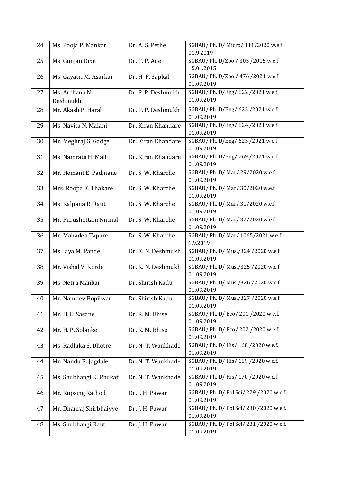| 24 | Ms. Pooja P. Mankar     | Dr. A. S. Pethe    | SGBAU/ Ph. D/ Micro/ 111/2020 w.e.f.<br>01.9.2019 |
|----|-------------------------|--------------------|---------------------------------------------------|
|    |                         | Dr. P. P. Ade      | SGBAU/ Ph. D/Zoo./ 305 /2015 w.e.f.               |
| 25 | Ms. Gunjan Dixit        |                    | 15.01.2015                                        |
| 26 | Ms. Gayatri M. Asarkar  | Dr. H. P. Sapkal   | SGBAU/ Ph. D/Zoo./ 476 /2021 w.e.f.               |
|    |                         |                    | 01.09.2019                                        |
| 27 | Ms. Archana N.          | Dr. P. P. Deshmukh | SGBAU/ Ph. D/Eng/ 622 /2021 w.e.f.                |
|    | Deshmukh                |                    | 01.09.2019                                        |
| 28 | Mr. Akash P. Haral      | Dr. P. P. Deshmukh | SGBAU/ Ph. D/Eng/ 623 /2021 w.e.f.                |
|    |                         |                    | 01.09.2019                                        |
| 29 | Ms. Navita N. Malani    | Dr. Kiran Khandare | SGBAU/ Ph. D/Eng/ 624 /2021 w.e.f.                |
|    |                         |                    | 01.09.2019                                        |
| 30 | Mr. Meghraj G. Gadge    | Dr. Kiran Khandare | SGBAU/ Ph. D/Eng/ 625 /2021 w.e.f.                |
|    |                         |                    | 01.09.2019                                        |
| 31 | Ms. Namrata H. Mali     | Dr. Kiran Khandare | SGBAU/ Ph. D/Eng/ 769 /2021 w.e.f.                |
|    |                         |                    | 01.09.2019                                        |
| 32 | Mr. Hemant E. Padmane   | Dr. S. W. Kharche  | SGBAU/ Ph. D/ Mar/ 29/2020 w.e.f.                 |
|    |                         |                    | 01.09.2019                                        |
| 33 | Mrs. Roopa K. Thakare   | Dr. S. W. Kharche  | SGBAU/ Ph. D/ Mar/ 30/2020 w.e.f.                 |
|    |                         |                    | 01.09.2019                                        |
| 34 | Ms. Kalpana R. Raut     | Dr. S. W. Kharche  | SGBAU/ Ph. D/ Mar/ 31/2020 w.e.f.                 |
|    |                         |                    | 01.09.2019                                        |
| 35 | Mr. Purushottam Nirmal  | Dr. S. W. Kharche  | SGBAU/ Ph. D/ Mar/ 32/2020 w.e.f.                 |
|    |                         |                    | 01.09.2019                                        |
| 36 | Mr. Mahadeo Tapare      | Dr. S. W. Kharche  | SGBAU/ Ph. D/ Mar/ 1065/2021 w.e.f.               |
|    |                         |                    | 1.9.2019                                          |
| 37 | Ms. Jaya M. Pande       | Dr. K. N. Deshmukh | SGBAU/ Ph. D/ Mus./324 /2020 w.e.f.               |
|    |                         |                    | 01.09.2019                                        |
| 38 | Mr. Vishal V. Korde     | Dr. K. N. Deshmukh | SGBAU/ Ph. D/ Mus./325 /2020 w.e.f.               |
|    |                         |                    | 01.09.2019                                        |
| 39 | Ms. Netra Mankar        | Dr. Shirish Kadu   | SGBAU/ Ph. D/ Mus./326 /2020 w.e.f.               |
|    |                         |                    | 01.09.2019                                        |
| 40 | Mr. Namdev Bopilwar     | Dr. Shirish Kadu   | SGBAU/ Ph. D/ Mus./327 /2020 w.e.f.<br>01.09.2019 |
|    |                         |                    | SGBAU/ Ph. D/ Eco/ 201 /2020 w.e.f.               |
| 41 | Mr. H. L. Sasane        | Dr. R. M. Bhise    | 01.09.2019                                        |
| 42 | Mr. H. P. Solanke       | Dr. R. M. Bhise    | SGBAU/ Ph. D/ Eco/ 202 /2020 w.e.f.               |
|    |                         |                    | 01.09.2019                                        |
| 43 | Ms. Radhika S. Dhotre   | Dr. N. T. Wankhade | SGBAU/ Ph. D/ His/ 168 / 2020 w.e.f.              |
|    |                         |                    | 01.09.2019                                        |
| 44 | Mr. Nandu R. Jagdale    | Dr. N. T. Wankhade | SGBAU/ Ph. D/ His/ 169 /2020 w.e.f.               |
|    |                         |                    | 01.09.2019                                        |
| 45 | Ms. Shubhangi K. Phukat | Dr. N. T. Wankhade | SGBAU/ Ph. D/ His/ 170 /2020 w.e.f.               |
|    |                         |                    | 01.09.2019                                        |
| 46 | Mr. Rupsing Rathod      | Dr. J. H. Pawar    | SGBAU/ Ph. D/ Pol.Sci/ 229 /2020 w.e.f.           |
|    |                         |                    | 01.09.2019                                        |
| 47 | Mr. Dhanraj Shirbhaiyye | Dr. J. H. Pawar    | SGBAU/ Ph. D/ Pol.Sci/ 230 /2020 w.e.f.           |
|    |                         |                    | 01.09.2019                                        |
| 48 | Ms. Shubhangi Raut      | Dr. J. H. Pawar    | SGBAU/ Ph. D/ Pol.Sci/ 231 /2020 w.e.f.           |
|    |                         |                    | 01.09.2019                                        |